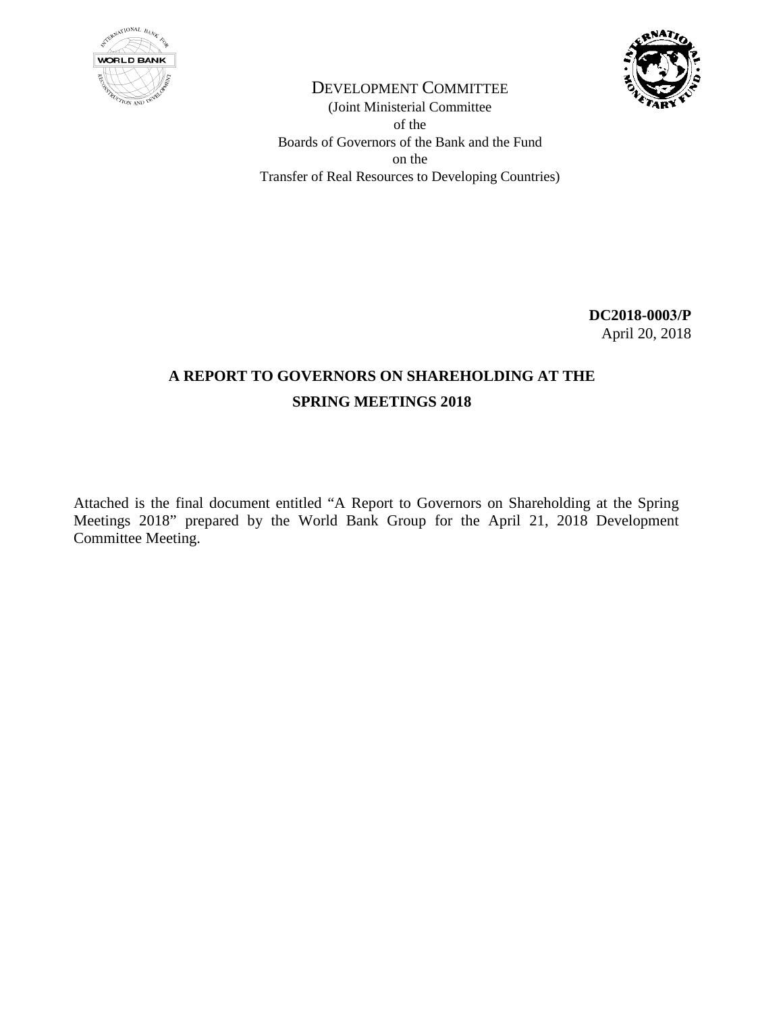



DEVELOPMENT COMMITTEE (Joint Ministerial Committee of the Boards of Governors of the Bank and the Fund on the Transfer of Real Resources to Developing Countries)

> **DC2018-0003/P**  April 20, 2018

# **A REPORT TO GOVERNORS ON SHAREHOLDING AT THE SPRING MEETINGS 2018**

Attached is the final document entitled "A Report to Governors on Shareholding at the Spring Meetings 2018" prepared by the World Bank Group for the April 21, 2018 Development Committee Meeting.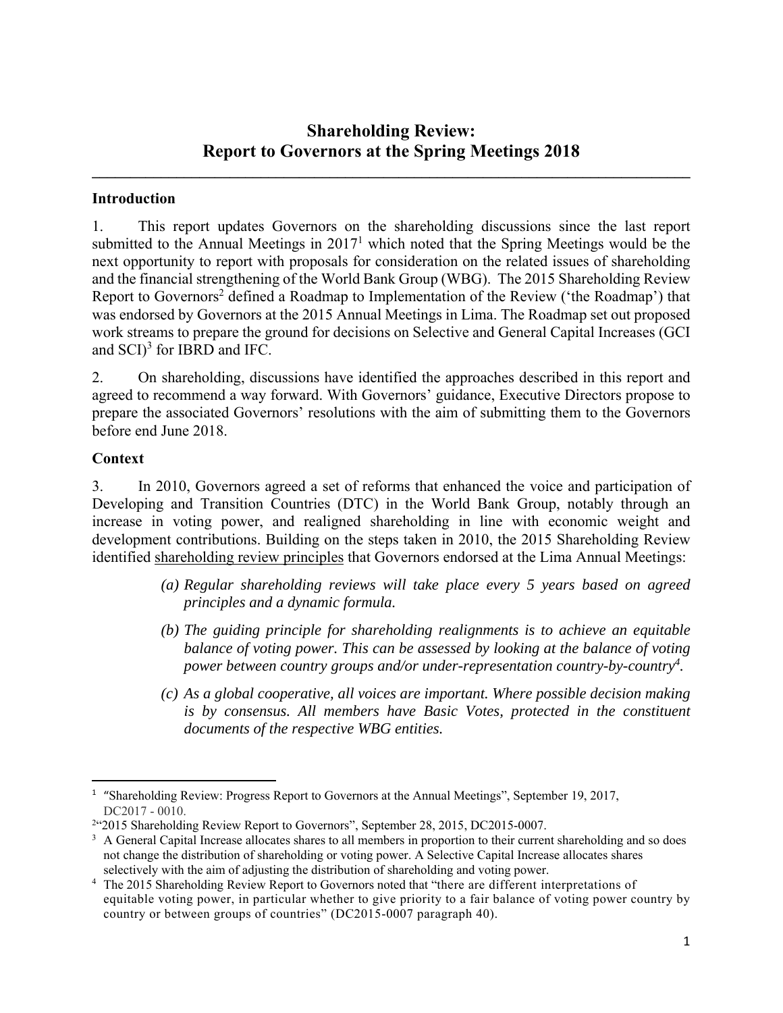## **Shareholding Review: Report to Governors at the Spring Meetings 2018**

**\_\_\_\_\_\_\_\_\_\_\_\_\_\_\_\_\_\_\_\_\_\_\_\_\_\_\_\_\_\_\_\_\_\_\_\_\_\_\_\_\_\_\_\_\_\_\_\_\_\_\_\_\_\_\_\_\_\_\_\_\_\_\_\_\_\_\_\_\_\_\_\_\_\_\_\_\_\_** 

### **Introduction**

1. This report updates Governors on the shareholding discussions since the last report submitted to the Annual Meetings in  $2017<sup>1</sup>$  which noted that the Spring Meetings would be the next opportunity to report with proposals for consideration on the related issues of shareholding and the financial strengthening of the World Bank Group (WBG). The 2015 Shareholding Review Report to Governors<sup>2</sup> defined a Roadmap to Implementation of the Review ('the Roadmap') that was endorsed by Governors at the 2015 Annual Meetings in Lima. The Roadmap set out proposed work streams to prepare the ground for decisions on Selective and General Capital Increases (GCI and  $SCI$ <sup>3</sup> for IBRD and IFC.

2. On shareholding, discussions have identified the approaches described in this report and agreed to recommend a way forward. With Governors' guidance, Executive Directors propose to prepare the associated Governors' resolutions with the aim of submitting them to the Governors before end June 2018.

#### **Context**

3. In 2010, Governors agreed a set of reforms that enhanced the voice and participation of Developing and Transition Countries (DTC) in the World Bank Group, notably through an increase in voting power, and realigned shareholding in line with economic weight and development contributions. Building on the steps taken in 2010, the 2015 Shareholding Review identified shareholding review principles that Governors endorsed at the Lima Annual Meetings:

- *(a) Regular shareholding reviews will take place every 5 years based on agreed principles and a dynamic formula.*
- *(b) The guiding principle for shareholding realignments is to achieve an equitable balance of voting power. This can be assessed by looking at the balance of voting power between country groups and/or under-representation country-by-country4.*
- *(c) As a global cooperative, all voices are important. Where possible decision making is by consensus. All members have Basic Votes, protected in the constituent documents of the respective WBG entities.*

 <sup>1</sup> "Shareholding Review: Progress Report to Governors at the Annual Meetings", September 19, 2017, DC2017 - 0010.

<sup>&</sup>lt;sup>2</sup>"2015 Shareholding Review Report to Governors", September 28, 2015, DC2015-0007.

<sup>&</sup>lt;sup>3</sup> A General Capital Increase allocates shares to all members in proportion to their current shareholding and so does not change the distribution of shareholding or voting power. A Selective Capital Increase allocates shares selectively with the aim of adjusting the distribution of shareholding and voting power. 4

<sup>&</sup>lt;sup>4</sup> The 2015 Shareholding Review Report to Governors noted that "there are different interpretations of equitable voting power, in particular whether to give priority to a fair balance of voting power country by country or between groups of countries" (DC2015-0007 paragraph 40).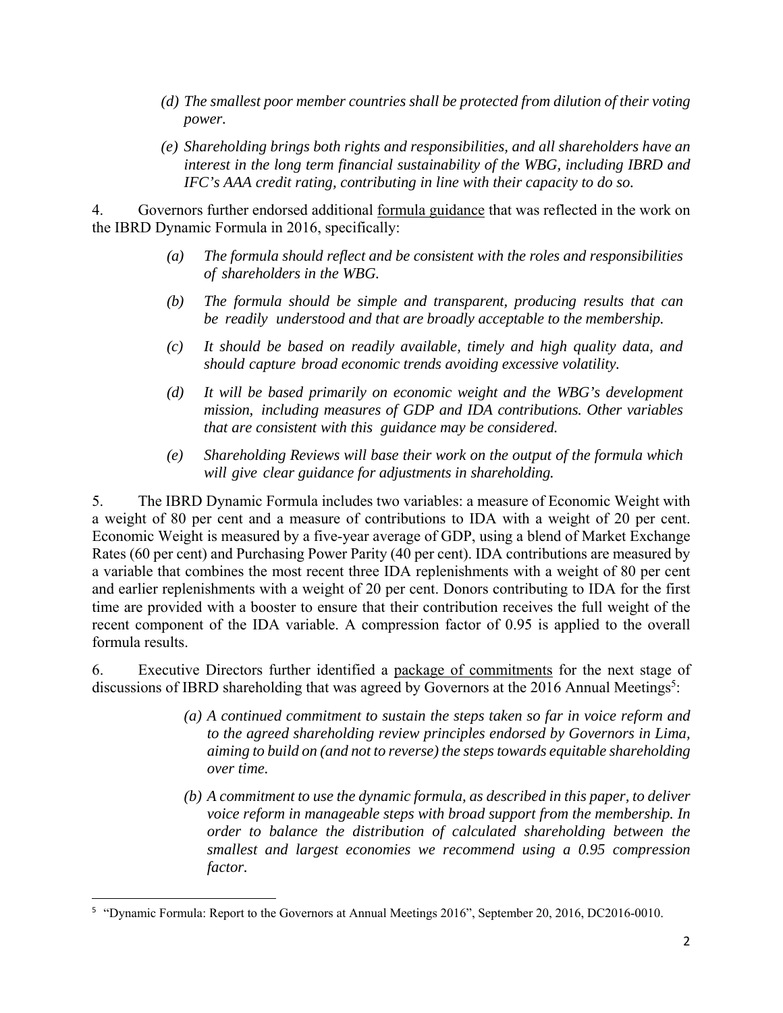- *(d) The smallest poor member countries shall be protected from dilution of their voting power.*
- *(e) Shareholding brings both rights and responsibilities, and all shareholders have an interest in the long term financial sustainability of the WBG, including IBRD and IFC's AAA credit rating, contributing in line with their capacity to do so.*

4. Governors further endorsed additional formula guidance that was reflected in the work on the IBRD Dynamic Formula in 2016, specifically:

- *(a) The formula should reflect and be consistent with the roles and responsibilities of shareholders in the WBG.*
- *(b) The formula should be simple and transparent, producing results that can be readily understood and that are broadly acceptable to the membership.*
- *(c) It should be based on readily available, timely and high quality data, and should capture broad economic trends avoiding excessive volatility.*
- *(d) It will be based primarily on economic weight and the WBG's development mission, including measures of GDP and IDA contributions. Other variables that are consistent with this guidance may be considered.*
- *(e) Shareholding Reviews will base their work on the output of the formula which will give clear guidance for adjustments in shareholding.*

5. The IBRD Dynamic Formula includes two variables: a measure of Economic Weight with a weight of 80 per cent and a measure of contributions to IDA with a weight of 20 per cent. Economic Weight is measured by a five-year average of GDP, using a blend of Market Exchange Rates (60 per cent) and Purchasing Power Parity (40 per cent). IDA contributions are measured by a variable that combines the most recent three IDA replenishments with a weight of 80 per cent and earlier replenishments with a weight of 20 per cent. Donors contributing to IDA for the first time are provided with a booster to ensure that their contribution receives the full weight of the recent component of the IDA variable. A compression factor of 0.95 is applied to the overall formula results.

6. Executive Directors further identified a package of commitments for the next stage of discussions of IBRD shareholding that was agreed by Governors at the 2016 Annual Meetings<sup>5</sup>:

- *(a) A continued commitment to sustain the steps taken so far in voice reform and to the agreed shareholding review principles endorsed by Governors in Lima, aiming to build on (and not to reverse) the steps towards equitable shareholding over time.*
- *(b) A commitment to use the dynamic formula, as described in this paper, to deliver voice reform in manageable steps with broad support from the membership. In order to balance the distribution of calculated shareholding between the smallest and largest economies we recommend using a 0.95 compression factor.*

<sup>5</sup> "Dynamic Formula: Report to the Governors at Annual Meetings 2016", September 20, 2016, DC2016-0010.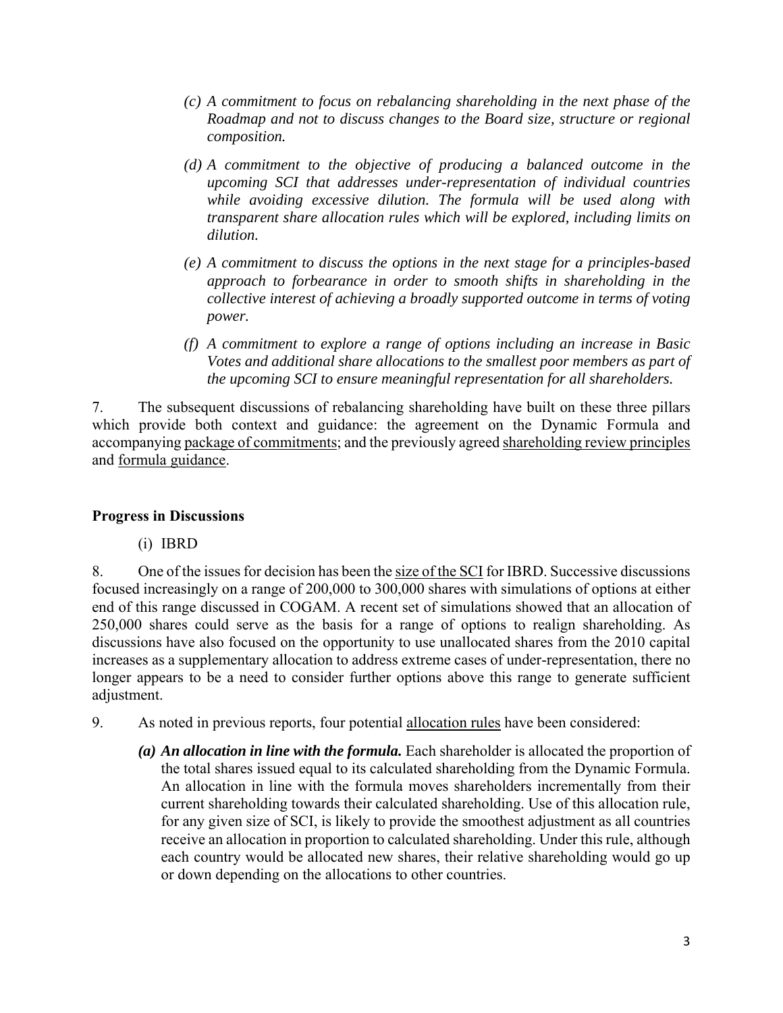- *(c) A commitment to focus on rebalancing shareholding in the next phase of the Roadmap and not to discuss changes to the Board size, structure or regional composition.*
- *(d) A commitment to the objective of producing a balanced outcome in the upcoming SCI that addresses under-representation of individual countries while avoiding excessive dilution. The formula will be used along with transparent share allocation rules which will be explored, including limits on dilution.*
- *(e) A commitment to discuss the options in the next stage for a principles-based approach to forbearance in order to smooth shifts in shareholding in the collective interest of achieving a broadly supported outcome in terms of voting power.*
- *(f) A commitment to explore a range of options including an increase in Basic Votes and additional share allocations to the smallest poor members as part of the upcoming SCI to ensure meaningful representation for all shareholders.*

7. The subsequent discussions of rebalancing shareholding have built on these three pillars which provide both context and guidance: the agreement on the Dynamic Formula and accompanying package of commitments; and the previously agreed shareholding review principles and formula guidance.

### **Progress in Discussions**

(i) IBRD

8. One of the issues for decision has been the size of the SCI for IBRD. Successive discussions focused increasingly on a range of 200,000 to 300,000 shares with simulations of options at either end of this range discussed in COGAM. A recent set of simulations showed that an allocation of 250,000 shares could serve as the basis for a range of options to realign shareholding. As discussions have also focused on the opportunity to use unallocated shares from the 2010 capital increases as a supplementary allocation to address extreme cases of under-representation, there no longer appears to be a need to consider further options above this range to generate sufficient adjustment.

- 9. As noted in previous reports, four potential allocation rules have been considered:
	- *(a) An allocation in line with the formula.* Each shareholder is allocated the proportion of the total shares issued equal to its calculated shareholding from the Dynamic Formula. An allocation in line with the formula moves shareholders incrementally from their current shareholding towards their calculated shareholding. Use of this allocation rule, for any given size of SCI, is likely to provide the smoothest adjustment as all countries receive an allocation in proportion to calculated shareholding. Under this rule, although each country would be allocated new shares, their relative shareholding would go up or down depending on the allocations to other countries.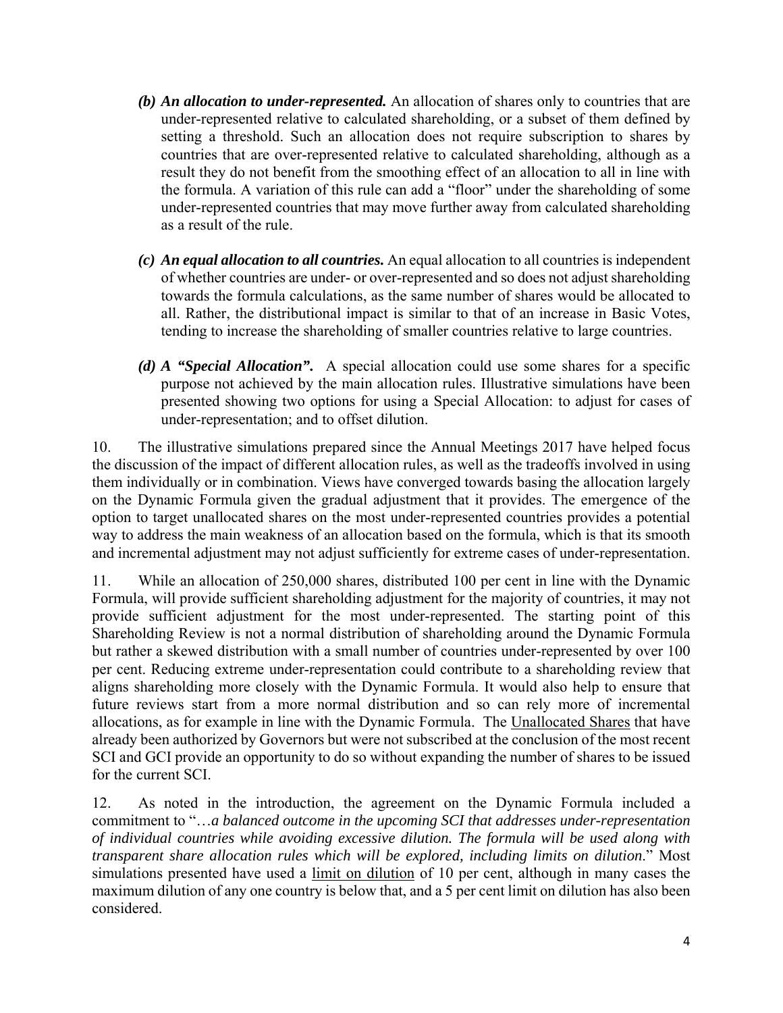- *(b) An allocation to under-represented.* An allocation of shares only to countries that are under-represented relative to calculated shareholding, or a subset of them defined by setting a threshold. Such an allocation does not require subscription to shares by countries that are over-represented relative to calculated shareholding, although as a result they do not benefit from the smoothing effect of an allocation to all in line with the formula. A variation of this rule can add a "floor" under the shareholding of some under-represented countries that may move further away from calculated shareholding as a result of the rule.
- *(c) An equal allocation to all countries.* An equal allocation to all countries is independent of whether countries are under- or over-represented and so does not adjust shareholding towards the formula calculations, as the same number of shares would be allocated to all. Rather, the distributional impact is similar to that of an increase in Basic Votes, tending to increase the shareholding of smaller countries relative to large countries.
- *(d) A "Special Allocation".* A special allocation could use some shares for a specific purpose not achieved by the main allocation rules. Illustrative simulations have been presented showing two options for using a Special Allocation: to adjust for cases of under-representation; and to offset dilution.

10. The illustrative simulations prepared since the Annual Meetings 2017 have helped focus the discussion of the impact of different allocation rules, as well as the tradeoffs involved in using them individually or in combination. Views have converged towards basing the allocation largely on the Dynamic Formula given the gradual adjustment that it provides. The emergence of the option to target unallocated shares on the most under-represented countries provides a potential way to address the main weakness of an allocation based on the formula, which is that its smooth and incremental adjustment may not adjust sufficiently for extreme cases of under-representation.

11. While an allocation of 250,000 shares, distributed 100 per cent in line with the Dynamic Formula, will provide sufficient shareholding adjustment for the majority of countries, it may not provide sufficient adjustment for the most under-represented. The starting point of this Shareholding Review is not a normal distribution of shareholding around the Dynamic Formula but rather a skewed distribution with a small number of countries under-represented by over 100 per cent. Reducing extreme under-representation could contribute to a shareholding review that aligns shareholding more closely with the Dynamic Formula. It would also help to ensure that future reviews start from a more normal distribution and so can rely more of incremental allocations, as for example in line with the Dynamic Formula. The Unallocated Shares that have already been authorized by Governors but were not subscribed at the conclusion of the most recent SCI and GCI provide an opportunity to do so without expanding the number of shares to be issued for the current SCI.

12. As noted in the introduction, the agreement on the Dynamic Formula included a commitment to "…*a balanced outcome in the upcoming SCI that addresses under-representation of individual countries while avoiding excessive dilution. The formula will be used along with transparent share allocation rules which will be explored, including limits on dilution*." Most simulations presented have used a limit on dilution of 10 per cent, although in many cases the maximum dilution of any one country is below that, and a 5 per cent limit on dilution has also been considered.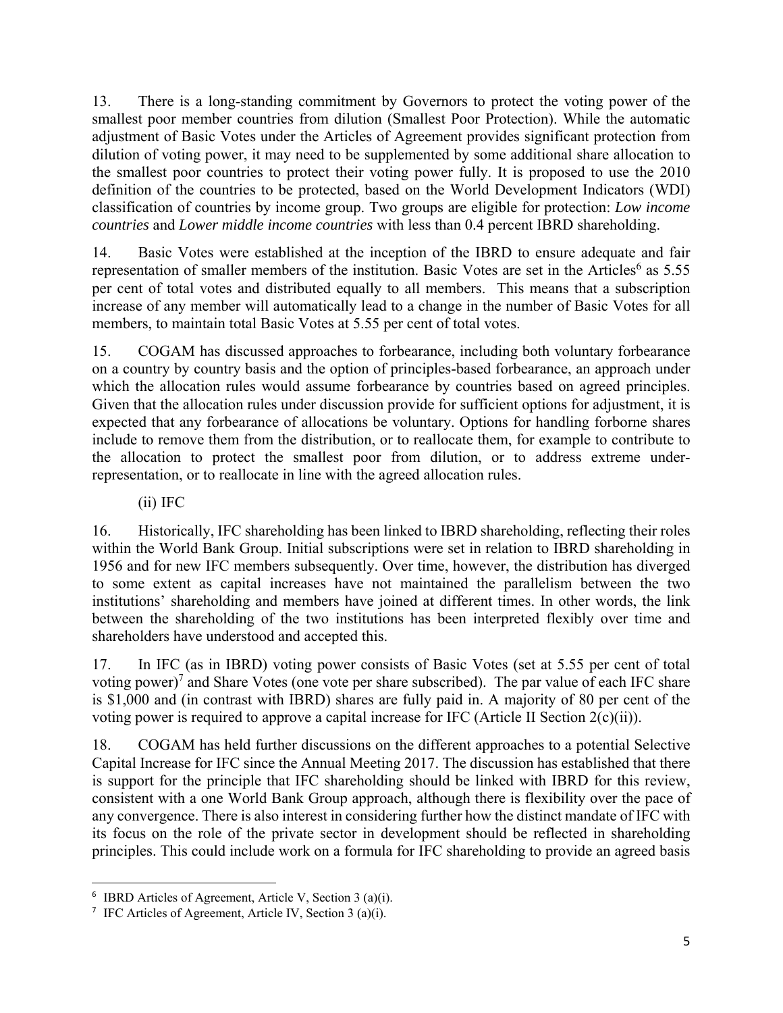13. There is a long-standing commitment by Governors to protect the voting power of the smallest poor member countries from dilution (Smallest Poor Protection). While the automatic adjustment of Basic Votes under the Articles of Agreement provides significant protection from dilution of voting power, it may need to be supplemented by some additional share allocation to the smallest poor countries to protect their voting power fully. It is proposed to use the 2010 definition of the countries to be protected, based on the World Development Indicators (WDI) classification of countries by income group. Two groups are eligible for protection: *Low income countries* and *Lower middle income countries* with less than 0.4 percent IBRD shareholding.

14. Basic Votes were established at the inception of the IBRD to ensure adequate and fair representation of smaller members of the institution. Basic Votes are set in the Articles<sup>6</sup> as 5.55 per cent of total votes and distributed equally to all members. This means that a subscription increase of any member will automatically lead to a change in the number of Basic Votes for all members, to maintain total Basic Votes at 5.55 per cent of total votes.

15. COGAM has discussed approaches to forbearance, including both voluntary forbearance on a country by country basis and the option of principles-based forbearance, an approach under which the allocation rules would assume forbearance by countries based on agreed principles. Given that the allocation rules under discussion provide for sufficient options for adjustment, it is expected that any forbearance of allocations be voluntary. Options for handling forborne shares include to remove them from the distribution, or to reallocate them, for example to contribute to the allocation to protect the smallest poor from dilution, or to address extreme underrepresentation, or to reallocate in line with the agreed allocation rules.

(ii) IFC

16. Historically, IFC shareholding has been linked to IBRD shareholding, reflecting their roles within the World Bank Group. Initial subscriptions were set in relation to IBRD shareholding in 1956 and for new IFC members subsequently. Over time, however, the distribution has diverged to some extent as capital increases have not maintained the parallelism between the two institutions' shareholding and members have joined at different times. In other words, the link between the shareholding of the two institutions has been interpreted flexibly over time and shareholders have understood and accepted this.

17. In IFC (as in IBRD) voting power consists of Basic Votes (set at 5.55 per cent of total voting power)<sup>7</sup> and Share Votes (one vote per share subscribed). The par value of each IFC share is \$1,000 and (in contrast with IBRD) shares are fully paid in. A majority of 80 per cent of the voting power is required to approve a capital increase for IFC (Article II Section 2(c)(ii)).

18. COGAM has held further discussions on the different approaches to a potential Selective Capital Increase for IFC since the Annual Meeting 2017. The discussion has established that there is support for the principle that IFC shareholding should be linked with IBRD for this review, consistent with a one World Bank Group approach, although there is flexibility over the pace of any convergence. There is also interest in considering further how the distinct mandate of IFC with its focus on the role of the private sector in development should be reflected in shareholding principles. This could include work on a formula for IFC shareholding to provide an agreed basis

<sup>6</sup> IBRD Articles of Agreement, Article V, Section 3 (a)(i).

<sup>&</sup>lt;sup>7</sup> IFC Articles of Agreement, Article IV, Section 3 (a)(i).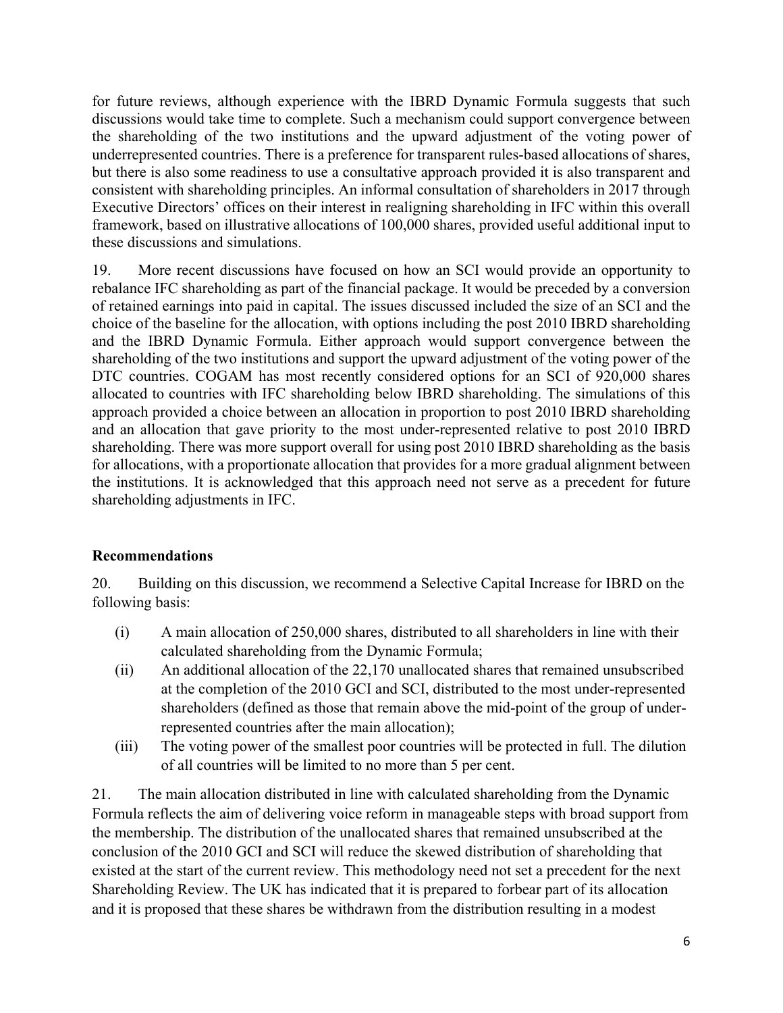for future reviews, although experience with the IBRD Dynamic Formula suggests that such discussions would take time to complete. Such a mechanism could support convergence between the shareholding of the two institutions and the upward adjustment of the voting power of underrepresented countries. There is a preference for transparent rules-based allocations of shares, but there is also some readiness to use a consultative approach provided it is also transparent and consistent with shareholding principles. An informal consultation of shareholders in 2017 through Executive Directors' offices on their interest in realigning shareholding in IFC within this overall framework, based on illustrative allocations of 100,000 shares, provided useful additional input to these discussions and simulations.

19. More recent discussions have focused on how an SCI would provide an opportunity to rebalance IFC shareholding as part of the financial package. It would be preceded by a conversion of retained earnings into paid in capital. The issues discussed included the size of an SCI and the choice of the baseline for the allocation, with options including the post 2010 IBRD shareholding and the IBRD Dynamic Formula. Either approach would support convergence between the shareholding of the two institutions and support the upward adjustment of the voting power of the DTC countries. COGAM has most recently considered options for an SCI of 920,000 shares allocated to countries with IFC shareholding below IBRD shareholding. The simulations of this approach provided a choice between an allocation in proportion to post 2010 IBRD shareholding and an allocation that gave priority to the most under-represented relative to post 2010 IBRD shareholding. There was more support overall for using post 2010 IBRD shareholding as the basis for allocations, with a proportionate allocation that provides for a more gradual alignment between the institutions. It is acknowledged that this approach need not serve as a precedent for future shareholding adjustments in IFC.

### **Recommendations**

20. Building on this discussion, we recommend a Selective Capital Increase for IBRD on the following basis:

- (i) A main allocation of 250,000 shares, distributed to all shareholders in line with their calculated shareholding from the Dynamic Formula;
- (ii) An additional allocation of the 22,170 unallocated shares that remained unsubscribed at the completion of the 2010 GCI and SCI, distributed to the most under-represented shareholders (defined as those that remain above the mid-point of the group of underrepresented countries after the main allocation);
- (iii) The voting power of the smallest poor countries will be protected in full. The dilution of all countries will be limited to no more than 5 per cent.

21. The main allocation distributed in line with calculated shareholding from the Dynamic Formula reflects the aim of delivering voice reform in manageable steps with broad support from the membership. The distribution of the unallocated shares that remained unsubscribed at the conclusion of the 2010 GCI and SCI will reduce the skewed distribution of shareholding that existed at the start of the current review. This methodology need not set a precedent for the next Shareholding Review. The UK has indicated that it is prepared to forbear part of its allocation and it is proposed that these shares be withdrawn from the distribution resulting in a modest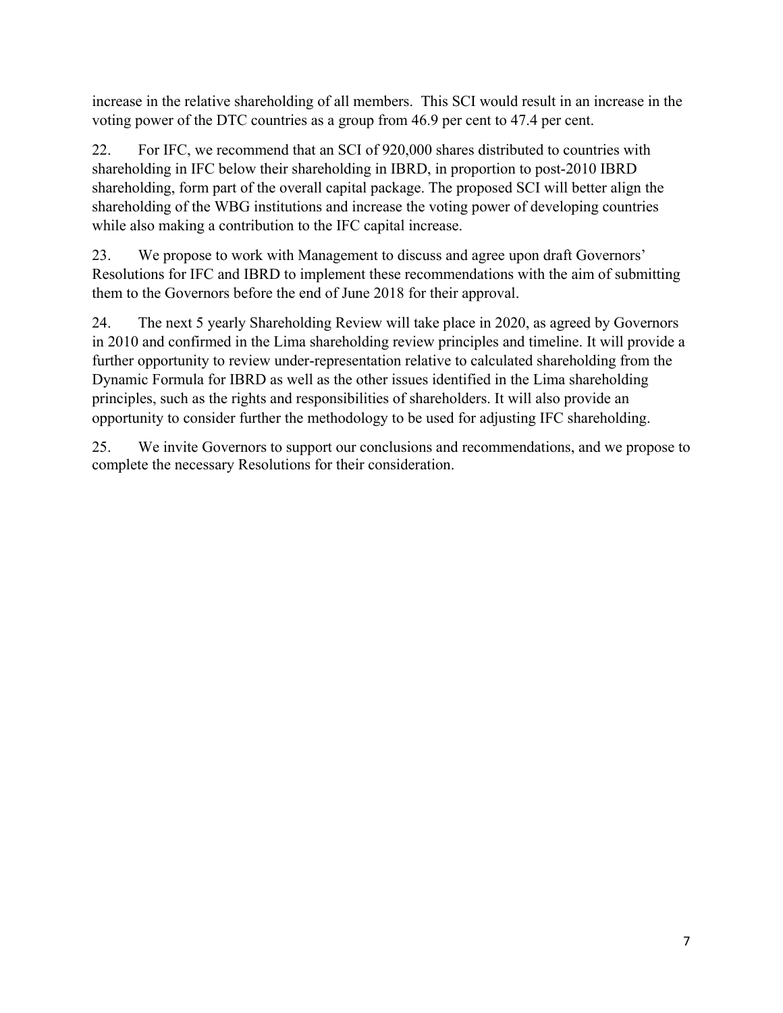increase in the relative shareholding of all members. This SCI would result in an increase in the voting power of the DTC countries as a group from 46.9 per cent to 47.4 per cent.

22. For IFC, we recommend that an SCI of 920,000 shares distributed to countries with shareholding in IFC below their shareholding in IBRD, in proportion to post-2010 IBRD shareholding, form part of the overall capital package. The proposed SCI will better align the shareholding of the WBG institutions and increase the voting power of developing countries while also making a contribution to the IFC capital increase.

23. We propose to work with Management to discuss and agree upon draft Governors' Resolutions for IFC and IBRD to implement these recommendations with the aim of submitting them to the Governors before the end of June 2018 for their approval.

24. The next 5 yearly Shareholding Review will take place in 2020, as agreed by Governors in 2010 and confirmed in the Lima shareholding review principles and timeline. It will provide a further opportunity to review under-representation relative to calculated shareholding from the Dynamic Formula for IBRD as well as the other issues identified in the Lima shareholding principles, such as the rights and responsibilities of shareholders. It will also provide an opportunity to consider further the methodology to be used for adjusting IFC shareholding.

25. We invite Governors to support our conclusions and recommendations, and we propose to complete the necessary Resolutions for their consideration.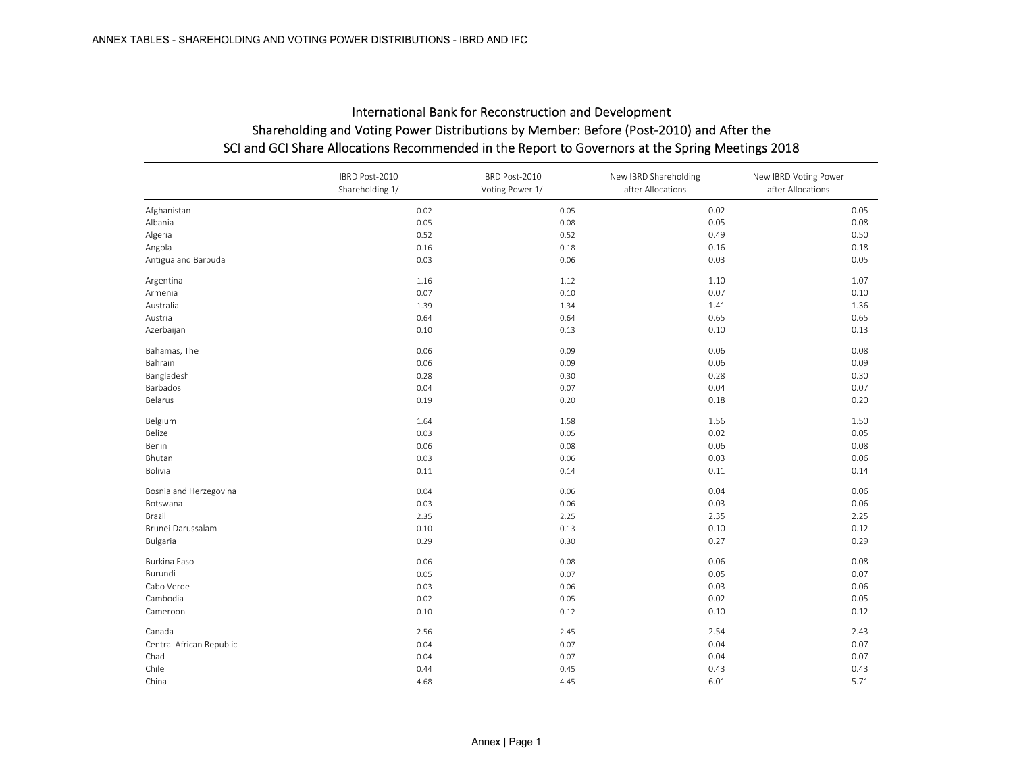|                          | IBRD Post-2010<br>Shareholding 1/ | IBRD Post-2010<br>Voting Power 1/ | New IBRD Shareholding<br>after Allocations | New IBRD Voting Power<br>after Allocations |
|--------------------------|-----------------------------------|-----------------------------------|--------------------------------------------|--------------------------------------------|
| Afghanistan              | 0.02                              | 0.05                              | 0.02                                       | 0.05                                       |
| Albania                  | 0.05                              | 0.08                              | 0.05                                       | 0.08                                       |
| Algeria                  | 0.52                              | 0.52                              | 0.49                                       | 0.50                                       |
| Angola                   | 0.16                              | 0.18                              | 0.16                                       | 0.18                                       |
| Antigua and Barbuda      | 0.03                              | 0.06                              | 0.03                                       | 0.05                                       |
| Argentina                | 1.16                              | 1.12                              | 1.10                                       | 1.07                                       |
| Armenia                  | 0.07                              | 0.10                              | 0.07                                       | 0.10                                       |
| Australia                | 1.39                              | 1.34                              | 1.41                                       | 1.36                                       |
| Austria                  | 0.64                              | 0.64                              | 0.65                                       | 0.65                                       |
| Azerbaijan               | 0.10                              | 0.13                              | 0.10                                       | 0.13                                       |
| Bahamas, The             | 0.06                              | 0.09                              | 0.06                                       | 0.08                                       |
| Bahrain                  | 0.06                              | 0.09                              | 0.06                                       | 0.09                                       |
| Bangladesh               | 0.28                              | 0.30                              | 0.28                                       | 0.30                                       |
| Barbados                 | 0.04                              | 0.07                              | 0.04                                       | 0.07                                       |
| Belarus                  | 0.19                              | 0.20                              | 0.18                                       | 0.20                                       |
| Belgium                  | 1.64                              | 1.58                              | 1.56                                       | 1.50                                       |
| Belize                   | 0.03                              | 0.05                              | 0.02                                       | 0.05                                       |
| Benin                    | 0.06                              | 0.08                              | 0.06                                       | 0.08                                       |
| Bhutan                   | 0.03                              | 0.06                              | 0.03                                       | 0.06                                       |
| Bolivia                  | 0.11                              | 0.14                              | 0.11                                       | 0.14                                       |
| Bosnia and Herzegovina   | 0.04                              | 0.06                              | 0.04                                       | 0.06                                       |
| Botswana                 | 0.03                              | 0.06                              | 0.03                                       | 0.06                                       |
| Brazil                   | 2.35                              | 2.25                              | 2.35                                       | 2.25                                       |
| Brunei Darussalam        | 0.10                              | 0.13                              | 0.10                                       | 0.12                                       |
| Bulgaria                 | 0.29                              | 0.30                              | 0.27                                       | 0.29                                       |
| Burkina Faso             | 0.06                              | 0.08                              | 0.06                                       | 0.08                                       |
| Burundi                  | 0.05                              | 0.07                              | 0.05                                       | 0.07                                       |
| Cabo Verde               | 0.03                              | 0.06                              | 0.03                                       | 0.06                                       |
| Cambodia                 | 0.02                              | 0.05                              | 0.02                                       | 0.05                                       |
| Cameroon                 | 0.10                              | 0.12                              | 0.10                                       | 0.12                                       |
| Canada                   | 2.56                              | 2.45                              | 2.54                                       | 2.43                                       |
| Central African Republic | 0.04                              | 0.07                              | 0.04                                       | 0.07                                       |
| Chad                     | 0.04                              | 0.07                              | 0.04                                       | 0.07                                       |
| Chile                    | 0.44                              | 0.45                              | 0.43                                       | 0.43                                       |
| China                    | 4.68                              | 4.45                              | 6.01                                       | 5.71                                       |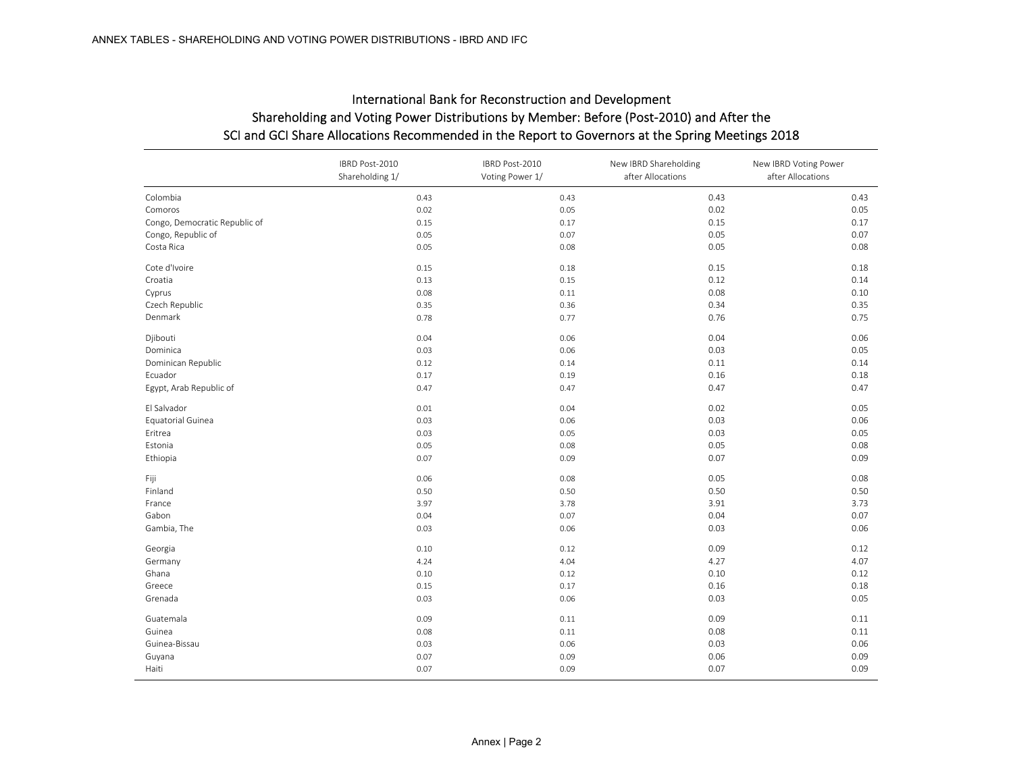|                               | IBRD Post-2010<br>Shareholding 1/ | IBRD Post-2010<br>Voting Power 1/ | New IBRD Shareholding<br>after Allocations | New IBRD Voting Power<br>after Allocations |
|-------------------------------|-----------------------------------|-----------------------------------|--------------------------------------------|--------------------------------------------|
| Colombia                      | 0.43                              | 0.43                              | 0.43                                       | 0.43                                       |
| Comoros                       | 0.02                              | 0.05                              | 0.02                                       | 0.05                                       |
| Congo, Democratic Republic of | 0.15                              | 0.17                              | 0.15                                       | 0.17                                       |
| Congo, Republic of            | 0.05                              | 0.07                              | 0.05                                       | 0.07                                       |
| Costa Rica                    | 0.05                              | 0.08                              | 0.05                                       | 0.08                                       |
| Cote d'Ivoire                 | 0.15                              | 0.18                              | 0.15                                       | 0.18                                       |
| Croatia                       | 0.13                              | 0.15                              | 0.12                                       | 0.14                                       |
| Cyprus                        | 0.08                              | 0.11                              | 0.08                                       | 0.10                                       |
| Czech Republic                | 0.35                              | 0.36                              | 0.34                                       | 0.35                                       |
| Denmark                       | 0.78                              | 0.77                              | 0.76                                       | 0.75                                       |
| Djibouti                      | 0.04                              | 0.06                              | 0.04                                       | 0.06                                       |
| Dominica                      | 0.03                              | 0.06                              | 0.03                                       | 0.05                                       |
| Dominican Republic            | 0.12                              | 0.14                              | 0.11                                       | 0.14                                       |
| Ecuador                       | 0.17                              | 0.19                              | 0.16                                       | 0.18                                       |
| Egypt, Arab Republic of       | 0.47                              | 0.47                              | 0.47                                       | 0.47                                       |
| El Salvador                   | 0.01                              | 0.04                              | 0.02                                       | 0.05                                       |
| Equatorial Guinea             | 0.03                              | 0.06                              | 0.03                                       | 0.06                                       |
| Eritrea                       | 0.03                              | 0.05                              | 0.03                                       | 0.05                                       |
| Estonia                       | 0.05                              | 0.08                              | 0.05                                       | 0.08                                       |
| Ethiopia                      | 0.07                              | 0.09                              | 0.07                                       | 0.09                                       |
| Fiji                          | 0.06                              | 0.08                              | 0.05                                       | 0.08                                       |
| Finland                       | 0.50                              | 0.50                              | 0.50                                       | 0.50                                       |
| France                        | 3.97                              | 3.78                              | 3.91                                       | 3.73                                       |
| Gabon                         | 0.04                              | 0.07                              | 0.04                                       | 0.07                                       |
| Gambia, The                   | 0.03                              | 0.06                              | 0.03                                       | 0.06                                       |
| Georgia                       | 0.10                              | 0.12                              | 0.09                                       | 0.12                                       |
| Germany                       | 4.24                              | 4.04                              | 4.27                                       | 4.07                                       |
| Ghana                         | 0.10                              | 0.12                              | 0.10                                       | 0.12                                       |
| Greece                        | 0.15                              | 0.17                              | 0.16                                       | 0.18                                       |
| Grenada                       | 0.03                              | 0.06                              | 0.03                                       | 0.05                                       |
| Guatemala                     | 0.09                              | 0.11                              | 0.09                                       | 0.11                                       |
| Guinea                        | 0.08                              | 0.11                              | 0.08                                       | 0.11                                       |
| Guinea-Bissau                 | 0.03                              | 0.06                              | 0.03                                       | 0.06                                       |
| Guyana                        | 0.07                              | 0.09                              | 0.06                                       | 0.09                                       |
| Haiti                         | 0.07                              | 0.09                              | 0.07                                       | 0.09                                       |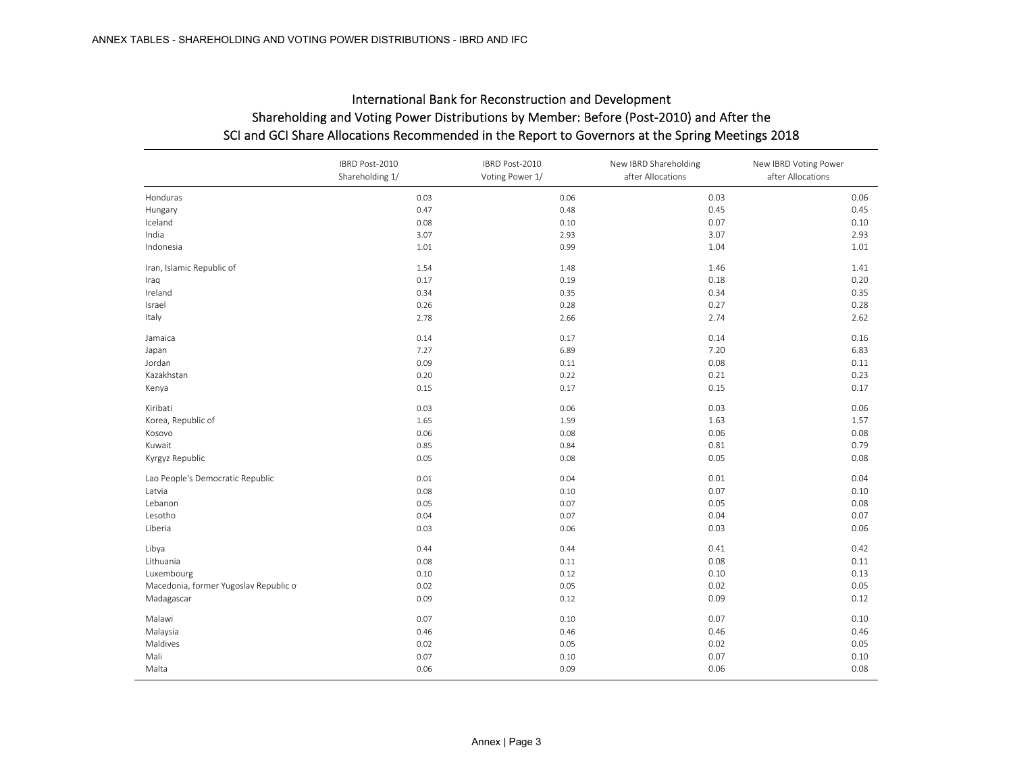| International Bank for Reconstruction and Development                                            |
|--------------------------------------------------------------------------------------------------|
| Shareholding and Voting Power Distributions by Member: Before (Post-2010) and After the          |
| SCI and GCI Share Allocations Recommended in the Report to Governors at the Spring Meetings 2018 |

|                                       | IBRD Post-2010<br>Shareholding 1/ | IBRD Post-2010<br>Voting Power 1/ | New IBRD Shareholding<br>after Allocations | New IBRD Voting Power<br>after Allocations |
|---------------------------------------|-----------------------------------|-----------------------------------|--------------------------------------------|--------------------------------------------|
| Honduras                              | 0.03                              | 0.06                              | 0.03                                       | 0.06                                       |
| Hungary                               | 0.47                              | 0.48                              | 0.45                                       | 0.45                                       |
| Iceland                               | 0.08                              | 0.10                              | 0.07                                       | 0.10                                       |
| India                                 | 3.07                              | 2.93                              | 3.07                                       | 2.93                                       |
| Indonesia                             | 1.01                              | 0.99                              | 1.04                                       | 1.01                                       |
| Iran, Islamic Republic of             | 1.54                              | 1.48                              | 1.46                                       | 1.41                                       |
| Iraq                                  | 0.17                              | 0.19                              | 0.18                                       | 0.20                                       |
| Ireland                               | 0.34                              | 0.35                              | 0.34                                       | 0.35                                       |
| Israel                                | 0.26                              | 0.28                              | 0.27                                       | 0.28                                       |
| Italy                                 | 2.78                              | 2.66                              | 2.74                                       | 2.62                                       |
| Jamaica                               | 0.14                              | 0.17                              | 0.14                                       | 0.16                                       |
| Japan                                 | 7.27                              | 6.89                              | 7.20                                       | 6.83                                       |
| Jordan                                | 0.09                              | 0.11                              | 0.08                                       | 0.11                                       |
| Kazakhstan                            | 0.20                              | 0.22                              | 0.21                                       | 0.23                                       |
| Kenya                                 | 0.15                              | 0.17                              | 0.15                                       | 0.17                                       |
| Kiribati                              | 0.03                              | 0.06                              | 0.03                                       | 0.06                                       |
| Korea, Republic of                    | 1.65                              | 1.59                              | 1.63                                       | 1.57                                       |
| Kosovo                                | 0.06                              | 0.08                              | 0.06                                       | 0.08                                       |
| Kuwait                                | 0.85                              | 0.84                              | 0.81                                       | 0.79                                       |
| Kyrgyz Republic                       | 0.05                              | 0.08                              | 0.05                                       | 0.08                                       |
| Lao People's Democratic Republic      | 0.01                              | 0.04                              | 0.01                                       | 0.04                                       |
| Latvia                                | 0.08                              | 0.10                              | 0.07                                       | 0.10                                       |
| Lebanon                               | 0.05                              | 0.07                              | 0.05                                       | 0.08                                       |
| Lesotho                               | 0.04                              | 0.07                              | 0.04                                       | 0.07                                       |
| Liberia                               | 0.03                              | 0.06                              | 0.03                                       | 0.06                                       |
| Libya                                 | 0.44                              | 0.44                              | 0.41                                       | 0.42                                       |
| Lithuania                             | 0.08                              | 0.11                              | 0.08                                       | 0.11                                       |
| Luxembourg                            | 0.10                              | 0.12                              | 0.10                                       | 0.13                                       |
| Macedonia, former Yugoslav Republic o | 0.02                              | 0.05                              | 0.02                                       | 0.05                                       |
| Madagascar                            | 0.09                              | 0.12                              | 0.09                                       | 0.12                                       |
| Malawi                                | 0.07                              | 0.10                              | 0.07                                       | 0.10                                       |
| Malaysia                              | 0.46                              | 0.46                              | 0.46                                       | 0.46                                       |
| Maldives                              | 0.02                              | 0.05                              | 0.02                                       | 0.05                                       |
| Mali                                  | 0.07                              | 0.10                              | 0.07                                       | 0.10                                       |
| Malta                                 | 0.06                              | 0.09                              | 0.06                                       | 0.08                                       |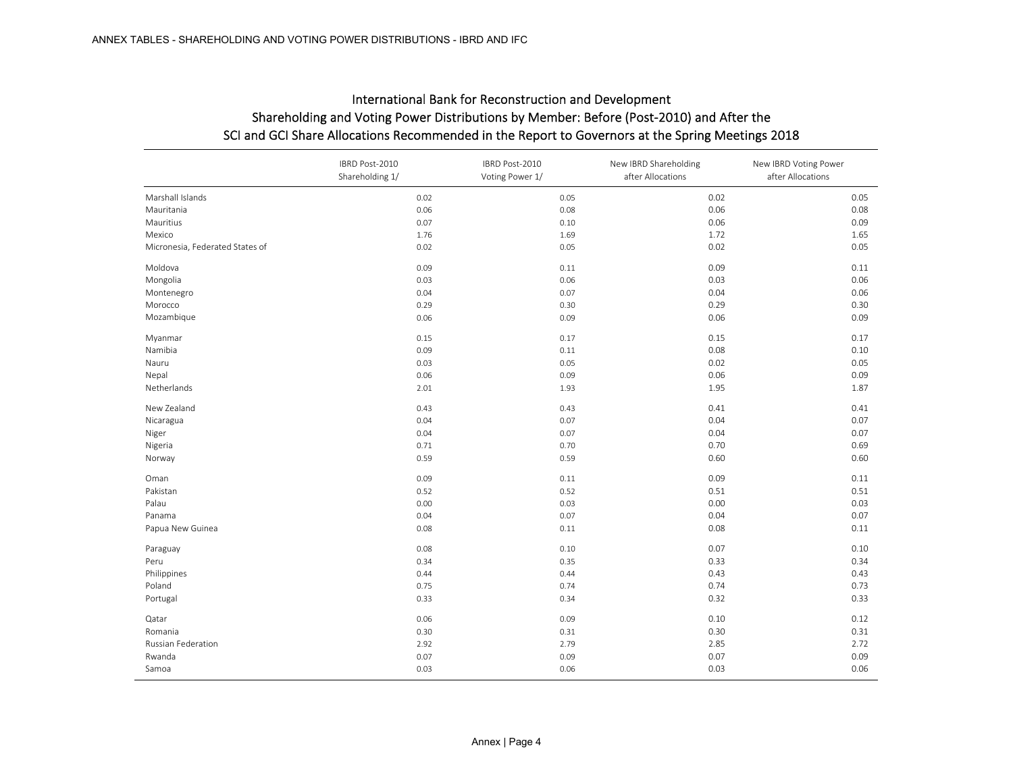### SCI and GCI Share Allocations Recommended in the Report to Governors at the Spring Meetings 2018 International Bank for Reconstruction and Development Shareholding and Voting Power Distributions by Member: Before (Post‐2010) and After the

|                                 | IBRD Post-2010<br>Shareholding 1/ | IBRD Post-2010<br>Voting Power 1/ | New IBRD Shareholding<br>after Allocations | New IBRD Voting Power<br>after Allocations |
|---------------------------------|-----------------------------------|-----------------------------------|--------------------------------------------|--------------------------------------------|
| Marshall Islands                | 0.02                              | 0.05                              | 0.02                                       | 0.05                                       |
| Mauritania                      | 0.06                              | 0.08                              | 0.06                                       | 0.08                                       |
| Mauritius                       | 0.07                              | 0.10                              | 0.06                                       | 0.09                                       |
| Mexico                          | 1.76                              | 1.69                              | 1.72                                       | 1.65                                       |
| Micronesia, Federated States of | 0.02                              | 0.05                              | 0.02                                       | 0.05                                       |
| Moldova                         | 0.09                              | 0.11                              | 0.09                                       | 0.11                                       |
| Mongolia                        | 0.03                              | 0.06                              | 0.03                                       | 0.06                                       |
| Montenegro                      | 0.04                              | 0.07                              | 0.04                                       | 0.06                                       |
| Morocco                         | 0.29                              | 0.30                              | 0.29                                       | 0.30                                       |
| Mozambique                      | 0.06                              | 0.09                              | 0.06                                       | 0.09                                       |
| Myanmar                         | 0.15                              | 0.17                              | 0.15                                       | 0.17                                       |
| Namibia                         | 0.09                              | 0.11                              | 0.08                                       | 0.10                                       |
| Nauru                           | 0.03                              | 0.05                              | 0.02                                       | 0.05                                       |
| Nepal                           | 0.06                              | 0.09                              | 0.06                                       | 0.09                                       |
| Netherlands                     | 2.01                              | 1.93                              | 1.95                                       | 1.87                                       |
| New Zealand                     | 0.43                              | 0.43                              | 0.41                                       | 0.41                                       |
| Nicaragua                       | 0.04                              | 0.07                              | 0.04                                       | 0.07                                       |
| Niger                           | 0.04                              | 0.07                              | 0.04                                       | 0.07                                       |
| Nigeria                         | 0.71                              | 0.70                              | 0.70                                       | 0.69                                       |
| Norway                          | 0.59                              | 0.59                              | 0.60                                       | 0.60                                       |
| Oman                            | 0.09                              | 0.11                              | 0.09                                       | 0.11                                       |
| Pakistan                        | 0.52                              | 0.52                              | 0.51                                       | 0.51                                       |
| Palau                           | 0.00                              | 0.03                              | 0.00                                       | 0.03                                       |
| Panama                          | 0.04                              | 0.07                              | 0.04                                       | 0.07                                       |
| Papua New Guinea                | 0.08                              | 0.11                              | 0.08                                       | 0.11                                       |
| Paraguay                        | 0.08                              | 0.10                              | 0.07                                       | 0.10                                       |
| Peru                            | 0.34                              | 0.35                              | 0.33                                       | 0.34                                       |
| Philippines                     | 0.44                              | 0.44                              | 0.43                                       | 0.43                                       |
| Poland                          | 0.75                              | 0.74                              | 0.74                                       | 0.73                                       |
| Portugal                        | 0.33                              | 0.34                              | 0.32                                       | 0.33                                       |
| Qatar                           | 0.06                              | 0.09                              | 0.10                                       | 0.12                                       |
| Romania                         | 0.30                              | 0.31                              | 0.30                                       | 0.31                                       |
| Russian Federation              | 2.92                              | 2.79                              | 2.85                                       | 2.72                                       |
| Rwanda                          | 0.07                              | 0.09                              | 0.07                                       | 0.09                                       |
| Samoa                           | 0.03                              | 0.06                              | 0.03                                       | 0.06                                       |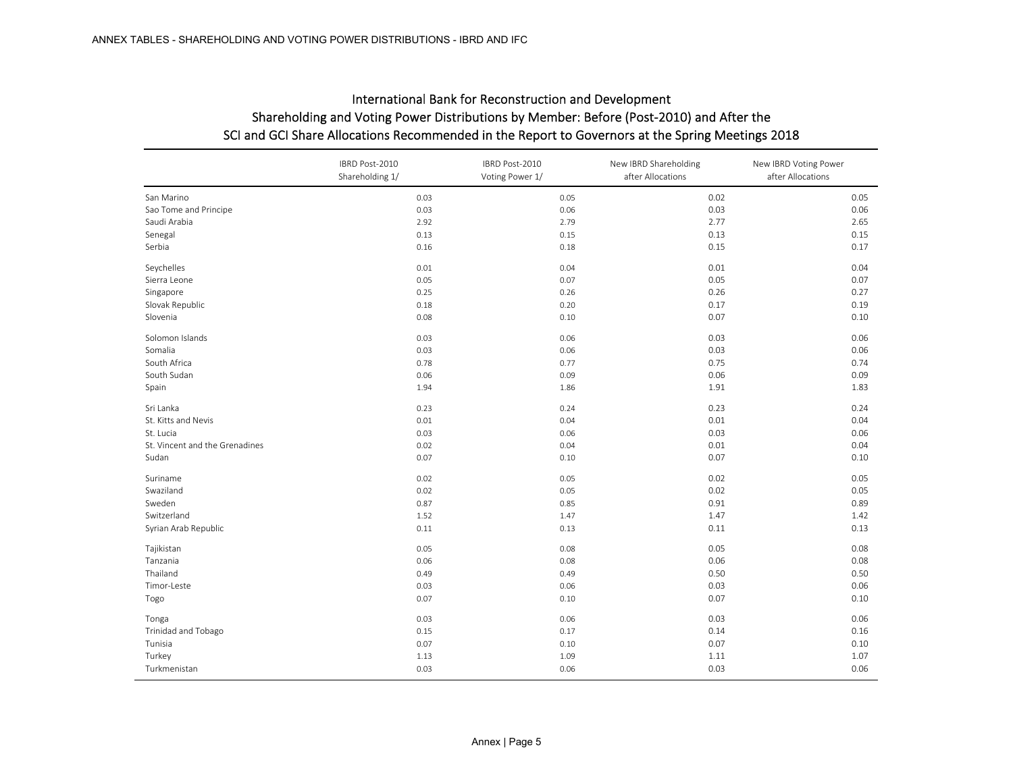|                                | IBRD Post-2010<br>Shareholding 1/ | IBRD Post-2010<br>Voting Power 1/ | New IBRD Shareholding<br>after Allocations | New IBRD Voting Power<br>after Allocations |
|--------------------------------|-----------------------------------|-----------------------------------|--------------------------------------------|--------------------------------------------|
| San Marino                     | 0.03                              | 0.05                              | 0.02                                       | 0.05                                       |
| Sao Tome and Principe          | 0.03                              | 0.06                              | 0.03                                       | 0.06                                       |
| Saudi Arabia                   | 2.92                              | 2.79                              | 2.77                                       | 2.65                                       |
| Senegal                        | 0.13                              | 0.15                              | 0.13                                       | 0.15                                       |
| Serbia                         | 0.16                              | 0.18                              | 0.15                                       | 0.17                                       |
| Seychelles                     | 0.01                              | 0.04                              | 0.01                                       | 0.04                                       |
| Sierra Leone                   | 0.05                              | 0.07                              | 0.05                                       | 0.07                                       |
| Singapore                      | 0.25                              | 0.26                              | 0.26                                       | 0.27                                       |
| Slovak Republic                | 0.18                              | 0.20                              | 0.17                                       | 0.19                                       |
| Slovenia                       | 0.08                              | 0.10                              | 0.07                                       | 0.10                                       |
| Solomon Islands                | 0.03                              | 0.06                              | 0.03                                       | 0.06                                       |
| Somalia                        | 0.03                              | 0.06                              | 0.03                                       | 0.06                                       |
| South Africa                   | 0.78                              | 0.77                              | 0.75                                       | 0.74                                       |
| South Sudan                    | 0.06                              | 0.09                              | 0.06                                       | 0.09                                       |
| Spain                          | 1.94                              | 1.86                              | 1.91                                       | 1.83                                       |
| Sri Lanka                      | 0.23                              | 0.24                              | 0.23                                       | 0.24                                       |
| St. Kitts and Nevis            | 0.01                              | 0.04                              | 0.01                                       | 0.04                                       |
| St. Lucia                      | 0.03                              | 0.06                              | 0.03                                       | 0.06                                       |
| St. Vincent and the Grenadines | 0.02                              | 0.04                              | 0.01                                       | 0.04                                       |
| Sudan                          | 0.07                              | 0.10                              | 0.07                                       | 0.10                                       |
| Suriname                       | 0.02                              | 0.05                              | 0.02                                       | 0.05                                       |
| Swaziland                      | 0.02                              | 0.05                              | 0.02                                       | 0.05                                       |
| Sweden                         | 0.87                              | 0.85                              | 0.91                                       | 0.89                                       |
| Switzerland                    | 1.52                              | 1.47                              | 1.47                                       | 1.42                                       |
| Syrian Arab Republic           | 0.11                              | 0.13                              | 0.11                                       | 0.13                                       |
| Tajikistan                     | 0.05                              | 0.08                              | 0.05                                       | 0.08                                       |
| Tanzania                       | 0.06                              | 0.08                              | 0.06                                       | 0.08                                       |
| Thailand                       | 0.49                              | 0.49                              | 0.50                                       | 0.50                                       |
| Timor-Leste                    | 0.03                              | 0.06                              | 0.03                                       | 0.06                                       |
| Togo                           | 0.07                              | 0.10                              | 0.07                                       | 0.10                                       |
| Tonga                          | 0.03                              | 0.06                              | 0.03                                       | 0.06                                       |
| Trinidad and Tobago            | 0.15                              | 0.17                              | 0.14                                       | 0.16                                       |
| Tunisia                        | 0.07                              | 0.10                              | 0.07                                       | 0.10                                       |
| Turkey                         | 1.13                              | 1.09                              | 1.11                                       | 1.07                                       |
| Turkmenistan                   | 0.03                              | 0.06                              | 0.03                                       | 0.06                                       |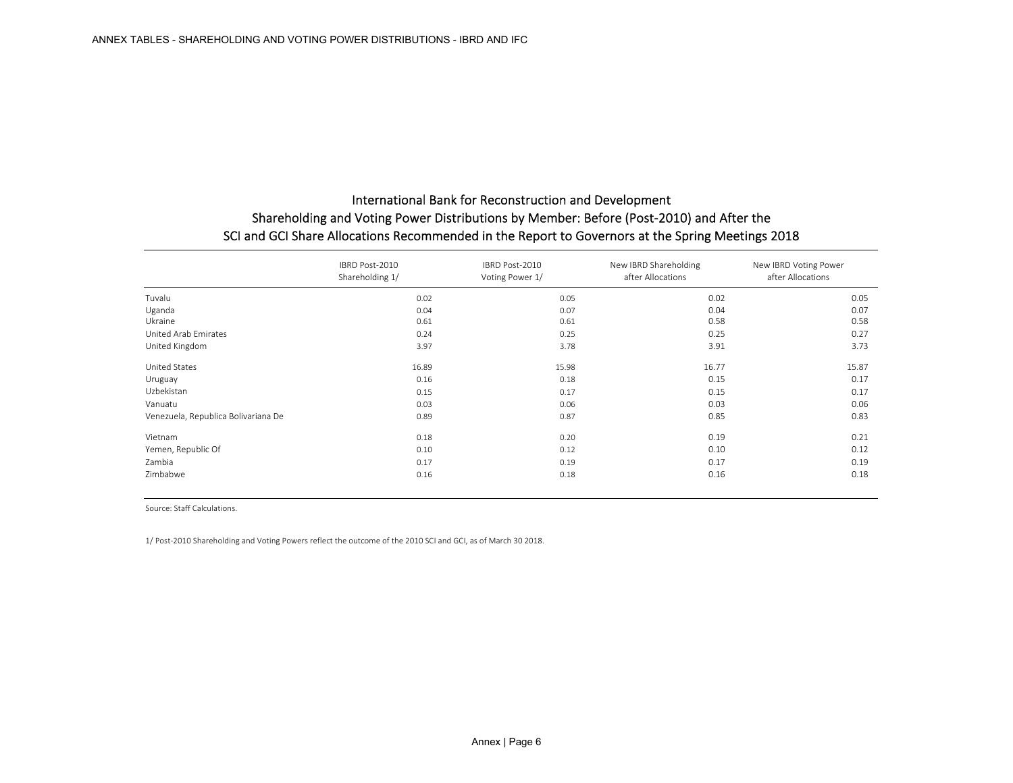|                                     | IBRD Post-2010<br>Shareholding 1/ | IBRD Post-2010<br>Voting Power 1/ | New IBRD Shareholding<br>after Allocations | New IBRD Voting Power<br>after Allocations |
|-------------------------------------|-----------------------------------|-----------------------------------|--------------------------------------------|--------------------------------------------|
| Tuvalu                              | 0.02                              | 0.05                              | 0.02                                       | 0.05                                       |
| Uganda                              | 0.04                              | 0.07                              | 0.04                                       | 0.07                                       |
| Ukraine                             | 0.61                              | 0.61                              | 0.58                                       | 0.58                                       |
| United Arab Emirates                | 0.24                              | 0.25                              | 0.25                                       | 0.27                                       |
| United Kingdom                      | 3.97                              | 3.78                              | 3.91                                       | 3.73                                       |
| United States                       | 16.89                             | 15.98                             | 16.77                                      | 15.87                                      |
| Uruguay                             | 0.16                              | 0.18                              | 0.15                                       | 0.17                                       |
| Uzbekistan                          | 0.15                              | 0.17                              | 0.15                                       | 0.17                                       |
| Vanuatu                             | 0.03                              | 0.06                              | 0.03                                       | 0.06                                       |
| Venezuela, Republica Bolivariana De | 0.89                              | 0.87                              | 0.85                                       | 0.83                                       |
| Vietnam                             | 0.18                              | 0.20                              | 0.19                                       | 0.21                                       |
| Yemen, Republic Of                  | 0.10                              | 0.12                              | 0.10                                       | 0.12                                       |
| Zambia                              | 0.17                              | 0.19                              | 0.17                                       | 0.19                                       |
| Zimbabwe                            | 0.16                              | 0.18                              | 0.16                                       | 0.18                                       |

Source: Staff Calculations.

1/ Post‐2010 Shareholding and Voting Powers reflect the outcome of the 2010 SCI and GCI, as of March 30 2018.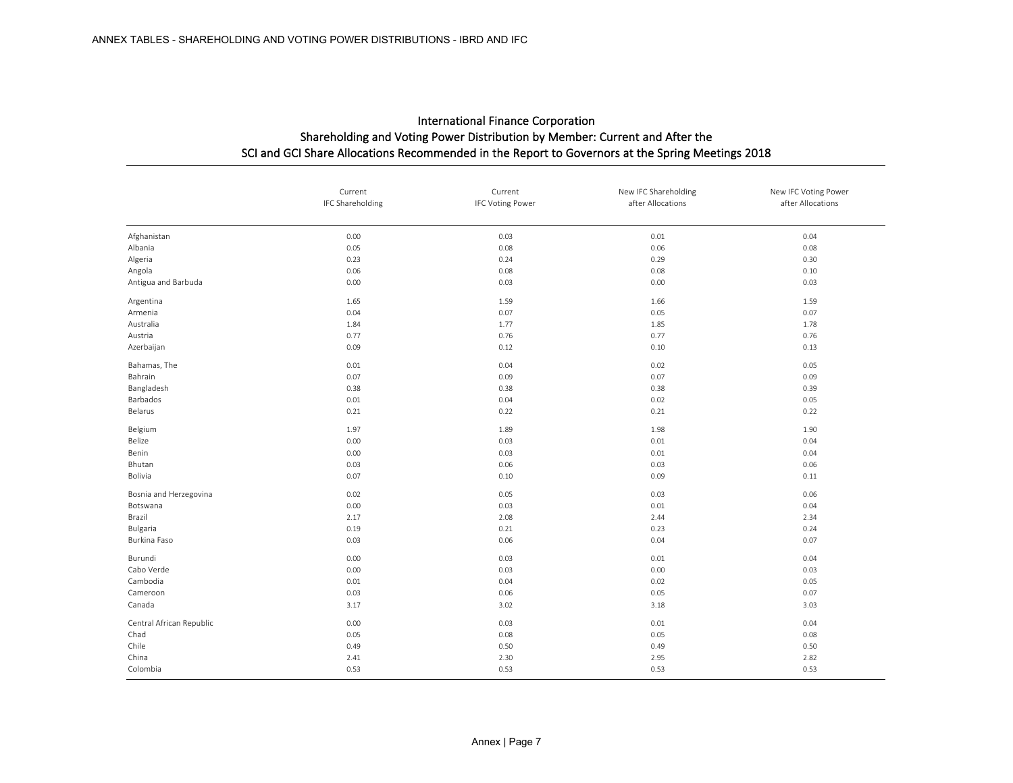|                          | Current<br>IFC Shareholding | Current<br><b>IFC Voting Power</b> | New IFC Shareholding<br>after Allocations | New IFC Voting Power<br>after Allocations |
|--------------------------|-----------------------------|------------------------------------|-------------------------------------------|-------------------------------------------|
| Afghanistan              | 0.00                        | 0.03                               | 0.01                                      | 0.04                                      |
| Albania                  | 0.05                        | 0.08                               | 0.06                                      | 0.08                                      |
| Algeria                  | 0.23                        | 0.24                               | 0.29                                      | 0.30                                      |
| Angola                   | 0.06                        | 0.08                               | 0.08                                      | 0.10                                      |
| Antigua and Barbuda      | 0.00                        | 0.03                               | 0.00                                      | 0.03                                      |
| Argentina                | 1.65                        | 1.59                               | 1.66                                      | 1.59                                      |
| Armenia                  | 0.04                        | 0.07                               | 0.05                                      | 0.07                                      |
| Australia                | 1.84                        | 1.77                               | 1.85                                      | 1.78                                      |
| Austria                  | 0.77                        | 0.76                               | 0.77                                      | 0.76                                      |
| Azerbaijan               | 0.09                        | 0.12                               | 0.10                                      | 0.13                                      |
| Bahamas, The             | 0.01                        | 0.04                               | 0.02                                      | 0.05                                      |
| Bahrain                  | 0.07                        | 0.09                               | 0.07                                      | 0.09                                      |
| Bangladesh               | 0.38                        | 0.38                               | 0.38                                      | 0.39                                      |
| Barbados                 | 0.01                        | 0.04                               | 0.02                                      | 0.05                                      |
| Belarus                  | 0.21                        | 0.22                               | 0.21                                      | 0.22                                      |
| Belgium                  | 1.97                        | 1.89                               | 1.98                                      | 1.90                                      |
| Belize                   | 0.00                        | 0.03                               | 0.01                                      | 0.04                                      |
| Benin                    | 0.00                        | 0.03                               | 0.01                                      | 0.04                                      |
| Bhutan                   | 0.03                        | 0.06                               | 0.03                                      | 0.06                                      |
| Bolivia                  | 0.07                        | 0.10                               | 0.09                                      | 0.11                                      |
| Bosnia and Herzegovina   | 0.02                        | 0.05                               | 0.03                                      | 0.06                                      |
| Botswana                 | 0.00                        | 0.03                               | 0.01                                      | 0.04                                      |
| Brazil                   | 2.17                        | 2.08                               | 2.44                                      | 2.34                                      |
| Bulgaria                 | 0.19                        | 0.21                               | 0.23                                      | 0.24                                      |
| Burkina Faso             | 0.03                        | 0.06                               | 0.04                                      | 0.07                                      |
| Burundi                  | 0.00                        | 0.03                               | 0.01                                      | 0.04                                      |
| Cabo Verde               | 0.00                        | 0.03                               | 0.00                                      | 0.03                                      |
| Cambodia                 | 0.01                        | 0.04                               | 0.02                                      | 0.05                                      |
| Cameroon                 | 0.03                        | 0.06                               | 0.05                                      | 0.07                                      |
| Canada                   | 3.17                        | 3.02                               | 3.18                                      | 3.03                                      |
| Central African Republic | 0.00                        | 0.03                               | 0.01                                      | 0.04                                      |
| Chad                     | 0.05                        | 0.08                               | 0.05                                      | 0.08                                      |
| Chile                    | 0.49                        | 0.50                               | 0.49                                      | 0.50                                      |
| China                    | 2.41                        | 2.30                               | 2.95                                      | 2.82                                      |
| Colombia                 | 0.53                        | 0.53                               | 0.53                                      | 0.53                                      |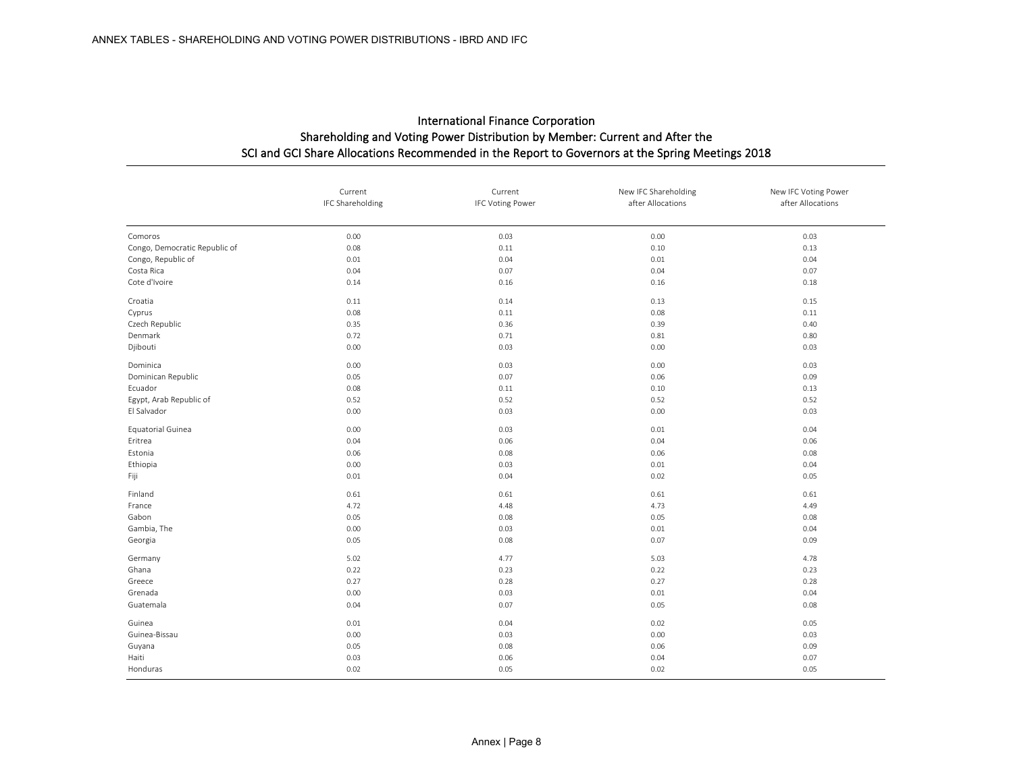|                               | Current<br>IFC Shareholding | Current<br><b>IFC Voting Power</b> | New IFC Shareholding<br>after Allocations | New IFC Voting Power<br>after Allocations |
|-------------------------------|-----------------------------|------------------------------------|-------------------------------------------|-------------------------------------------|
| Comoros                       | 0.00                        | 0.03                               | 0.00                                      | 0.03                                      |
| Congo, Democratic Republic of | 0.08                        | 0.11                               | 0.10                                      | 0.13                                      |
| Congo, Republic of            | 0.01                        | 0.04                               | 0.01                                      | 0.04                                      |
| Costa Rica                    | 0.04                        | 0.07                               | 0.04                                      | 0.07                                      |
| Cote d'Ivoire                 | 0.14                        | 0.16                               | 0.16                                      | 0.18                                      |
| Croatia                       | 0.11                        | 0.14                               | 0.13                                      | 0.15                                      |
| Cyprus                        | 0.08                        | 0.11                               | 0.08                                      | 0.11                                      |
| Czech Republic                | 0.35                        | 0.36                               | 0.39                                      | 0.40                                      |
| Denmark                       | 0.72                        | 0.71                               | 0.81                                      | 0.80                                      |
| Djibouti                      | 0.00                        | 0.03                               | 0.00                                      | 0.03                                      |
| Dominica                      | 0.00                        | 0.03                               | 0.00                                      | 0.03                                      |
| Dominican Republic            | 0.05                        | 0.07                               | 0.06                                      | 0.09                                      |
| Ecuador                       | 0.08                        | 0.11                               | 0.10                                      | 0.13                                      |
| Egypt, Arab Republic of       | 0.52                        | 0.52                               | 0.52                                      | 0.52                                      |
| El Salvador                   | 0.00                        | 0.03                               | 0.00                                      | 0.03                                      |
| Equatorial Guinea             | 0.00                        | 0.03                               | 0.01                                      | 0.04                                      |
| Eritrea                       | 0.04                        | 0.06                               | 0.04                                      | 0.06                                      |
| Estonia                       | 0.06                        | 0.08                               | 0.06                                      | 0.08                                      |
| Ethiopia                      | 0.00                        | 0.03                               | 0.01                                      | 0.04                                      |
| Fiji                          | 0.01                        | 0.04                               | 0.02                                      | 0.05                                      |
| Finland                       | 0.61                        | 0.61                               | 0.61                                      | 0.61                                      |
| France                        | 4.72                        | 4.48                               | 4.73                                      | 4.49                                      |
| Gabon                         | 0.05                        | 0.08                               | 0.05                                      | 0.08                                      |
| Gambia, The                   | 0.00                        | 0.03                               | 0.01                                      | 0.04                                      |
| Georgia                       | 0.05                        | 0.08                               | 0.07                                      | 0.09                                      |
| Germany                       | 5.02                        | 4.77                               | 5.03                                      | 4.78                                      |
| Ghana                         | 0.22                        | 0.23                               | 0.22                                      | 0.23                                      |
| Greece                        | 0.27                        | 0.28                               | 0.27                                      | 0.28                                      |
| Grenada                       | 0.00                        | 0.03                               | 0.01                                      | 0.04                                      |
| Guatemala                     | 0.04                        | 0.07                               | 0.05                                      | 0.08                                      |
| Guinea                        | 0.01                        | 0.04                               | 0.02                                      | 0.05                                      |
| Guinea-Bissau                 | 0.00                        | 0.03                               | 0.00                                      | 0.03                                      |
| Guyana                        | 0.05                        | 0.08                               | 0.06                                      | 0.09                                      |
| Haiti                         | 0.03                        | 0.06                               | 0.04                                      | 0.07                                      |
| Honduras                      | 0.02                        | 0.05                               | 0.02                                      | 0.05                                      |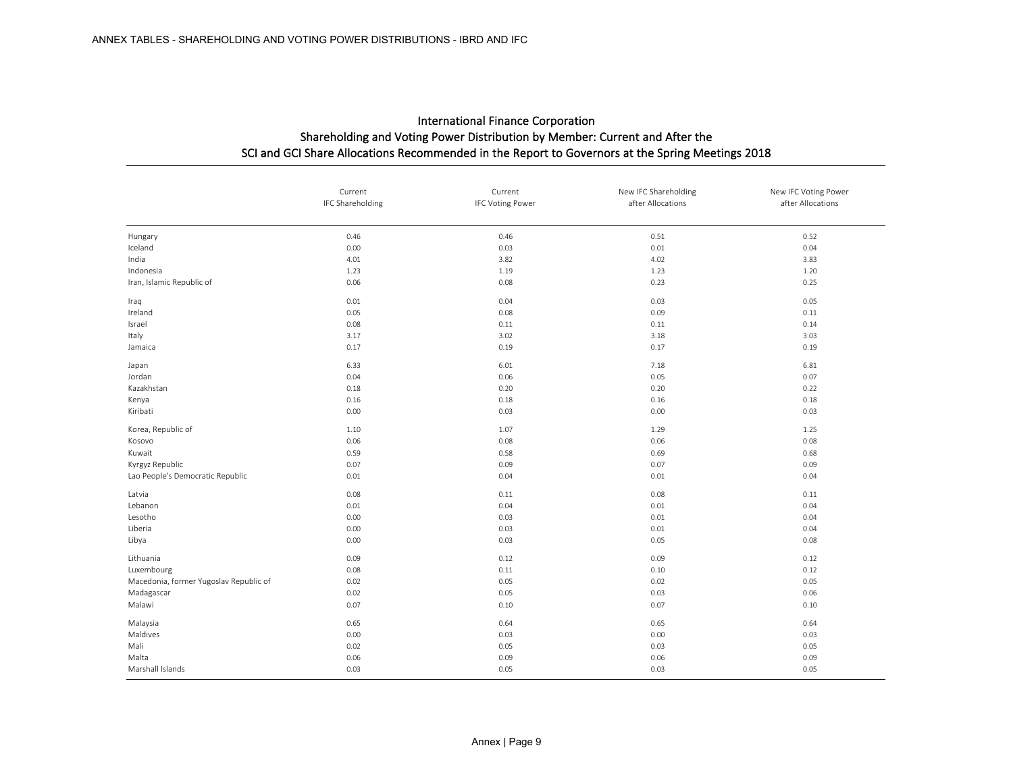|                                        | Current<br>IFC Shareholding | Current<br><b>IFC Voting Power</b> | New IFC Shareholding<br>after Allocations | New IFC Voting Power<br>after Allocations |
|----------------------------------------|-----------------------------|------------------------------------|-------------------------------------------|-------------------------------------------|
|                                        |                             |                                    |                                           |                                           |
| Hungary                                | 0.46                        | 0.46                               | 0.51                                      | 0.52                                      |
| Iceland                                | 0.00                        | 0.03                               | 0.01                                      | 0.04                                      |
| India                                  | 4.01                        | 3.82                               | 4.02                                      | 3.83                                      |
| Indonesia                              | 1.23                        | 1.19                               | 1.23                                      | 1.20                                      |
| Iran, Islamic Republic of              | 0.06                        | 0.08                               | 0.23                                      | 0.25                                      |
| Iraq                                   | 0.01                        | 0.04                               | 0.03                                      | 0.05                                      |
| Ireland                                | 0.05                        | 0.08                               | 0.09                                      | 0.11                                      |
| Israel                                 | 0.08                        | 0.11                               | 0.11                                      | 0.14                                      |
| Italy                                  | 3.17                        | 3.02                               | 3.18                                      | 3.03                                      |
| Jamaica                                | 0.17                        | 0.19                               | 0.17                                      | 0.19                                      |
| Japan                                  | 6.33                        | 6.01                               | 7.18                                      | 6.81                                      |
| Jordan                                 | 0.04                        | 0.06                               | 0.05                                      | 0.07                                      |
| Kazakhstan                             | 0.18                        | 0.20                               | 0.20                                      | 0.22                                      |
| Kenya                                  | 0.16                        | 0.18                               | 0.16                                      | 0.18                                      |
| Kiribati                               | 0.00                        | 0.03                               | 0.00                                      | 0.03                                      |
| Korea, Republic of                     | 1.10                        | 1.07                               | 1.29                                      | 1.25                                      |
| Kosovo                                 | 0.06                        | 0.08                               | 0.06                                      | 0.08                                      |
| Kuwait                                 | 0.59                        | 0.58                               | 0.69                                      | 0.68                                      |
| Kyrgyz Republic                        | 0.07                        | 0.09                               | 0.07                                      | 0.09                                      |
| Lao People's Democratic Republic       | 0.01                        | 0.04                               | 0.01                                      | 0.04                                      |
| Latvia                                 | 0.08                        | 0.11                               | 0.08                                      | 0.11                                      |
| Lebanon                                | 0.01                        | 0.04                               | 0.01                                      | 0.04                                      |
| Lesotho                                | 0.00                        | 0.03                               | 0.01                                      | 0.04                                      |
| Liberia                                | 0.00                        | 0.03                               | 0.01                                      | 0.04                                      |
| Libya                                  | 0.00                        | 0.03                               | 0.05                                      | 0.08                                      |
| Lithuania                              | 0.09                        | 0.12                               | 0.09                                      | 0.12                                      |
| Luxembourg                             | 0.08                        | 0.11                               | 0.10                                      | 0.12                                      |
| Macedonia, former Yugoslav Republic of | 0.02                        | 0.05                               | 0.02                                      | 0.05                                      |
| Madagascar                             | 0.02                        | 0.05                               | 0.03                                      | 0.06                                      |
| Malawi                                 | 0.07                        | 0.10                               | 0.07                                      | 0.10                                      |
| Malaysia                               | 0.65                        | 0.64                               | 0.65                                      | 0.64                                      |
| Maldives                               | 0.00                        | 0.03                               | 0.00                                      | 0.03                                      |
| Mali                                   | 0.02                        | 0.05                               | 0.03                                      | 0.05                                      |
| Malta                                  | 0.06                        | 0.09                               | 0.06                                      | 0.09                                      |
| Marshall Islands                       | 0.03                        | 0.05                               | 0.03                                      | 0.05                                      |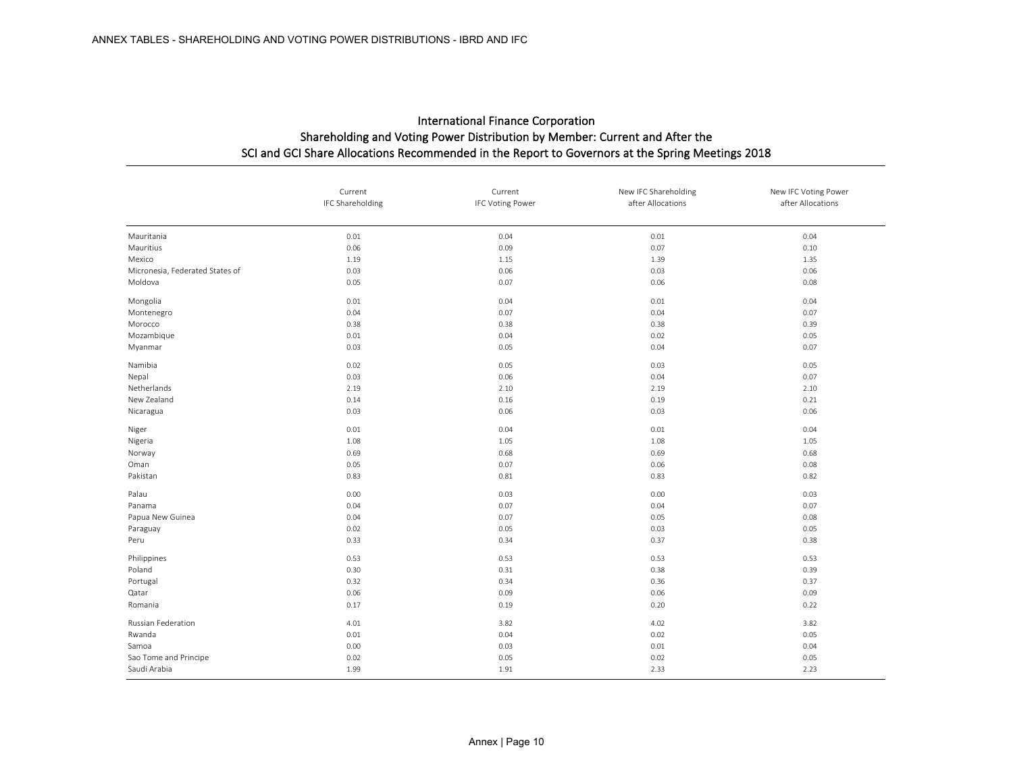|                                 | Current<br>IFC Shareholding | Current<br><b>IFC Voting Power</b> | New IFC Shareholding<br>after Allocations | New IFC Voting Power<br>after Allocations |
|---------------------------------|-----------------------------|------------------------------------|-------------------------------------------|-------------------------------------------|
|                                 |                             |                                    |                                           |                                           |
| Mauritania                      | 0.01                        | 0.04                               | 0.01                                      | 0.04                                      |
| Mauritius                       | 0.06                        | 0.09                               | 0.07                                      | 0.10                                      |
| Mexico                          | 1.19                        | 1.15                               | 1.39                                      | 1.35                                      |
| Micronesia, Federated States of | 0.03                        | 0.06                               | 0.03                                      | 0.06                                      |
| Moldova                         | 0.05                        | 0.07                               | 0.06                                      | 0.08                                      |
| Mongolia                        | 0.01                        | 0.04                               | 0.01                                      | 0.04                                      |
| Montenegro                      | 0.04                        | 0.07                               | 0.04                                      | 0.07                                      |
| Morocco                         | 0.38                        | 0.38                               | 0.38                                      | 0.39                                      |
| Mozambique                      | 0.01                        | 0.04                               | 0.02                                      | 0.05                                      |
| Myanmar                         | 0.03                        | 0.05                               | 0.04                                      | 0.07                                      |
| Namibia                         | 0.02                        | 0.05                               | 0.03                                      | 0.05                                      |
| Nepal                           | 0.03                        | 0.06                               | 0.04                                      | 0.07                                      |
| Netherlands                     | 2.19                        | 2.10                               | 2.19                                      | 2.10                                      |
| New Zealand                     | 0.14                        | 0.16                               | 0.19                                      | 0.21                                      |
| Nicaragua                       | 0.03                        | 0.06                               | 0.03                                      | 0.06                                      |
| Niger                           | 0.01                        | 0.04                               | 0.01                                      | 0.04                                      |
| Nigeria                         | 1.08                        | 1.05                               | 1.08                                      | 1.05                                      |
| Norway                          | 0.69                        | 0.68                               | 0.69                                      | 0.68                                      |
| Oman                            | 0.05                        | 0.07                               | 0.06                                      | 0.08                                      |
| Pakistan                        | 0.83                        | 0.81                               | 0.83                                      | 0.82                                      |
| Palau                           | 0.00                        | 0.03                               | 0.00                                      | 0.03                                      |
| Panama                          | 0.04                        | 0.07                               | 0.04                                      | 0.07                                      |
| Papua New Guinea                | 0.04                        | 0.07                               | 0.05                                      | 0.08                                      |
| Paraguay                        | 0.02                        | 0.05                               | 0.03                                      | 0.05                                      |
| Peru                            | 0.33                        | 0.34                               | 0.37                                      | 0.38                                      |
| Philippines                     | 0.53                        | 0.53                               | 0.53                                      | 0.53                                      |
| Poland                          | 0.30                        | 0.31                               | 0.38                                      | 0.39                                      |
| Portugal                        | 0.32                        | 0.34                               | 0.36                                      | 0.37                                      |
| Qatar                           | 0.06                        | 0.09                               | 0.06                                      | 0.09                                      |
| Romania                         | 0.17                        | 0.19                               | 0.20                                      | 0.22                                      |
| Russian Federation              | 4.01                        | 3.82                               | 4.02                                      | 3.82                                      |
| Rwanda                          | 0.01                        | 0.04                               | 0.02                                      | 0.05                                      |
| Samoa                           | 0.00                        | 0.03                               | 0.01                                      | 0.04                                      |
| Sao Tome and Principe           | 0.02                        | 0.05                               | 0.02                                      | 0.05                                      |
| Saudi Arabia                    | 1.99                        | 1.91                               | 2.33                                      | 2.23                                      |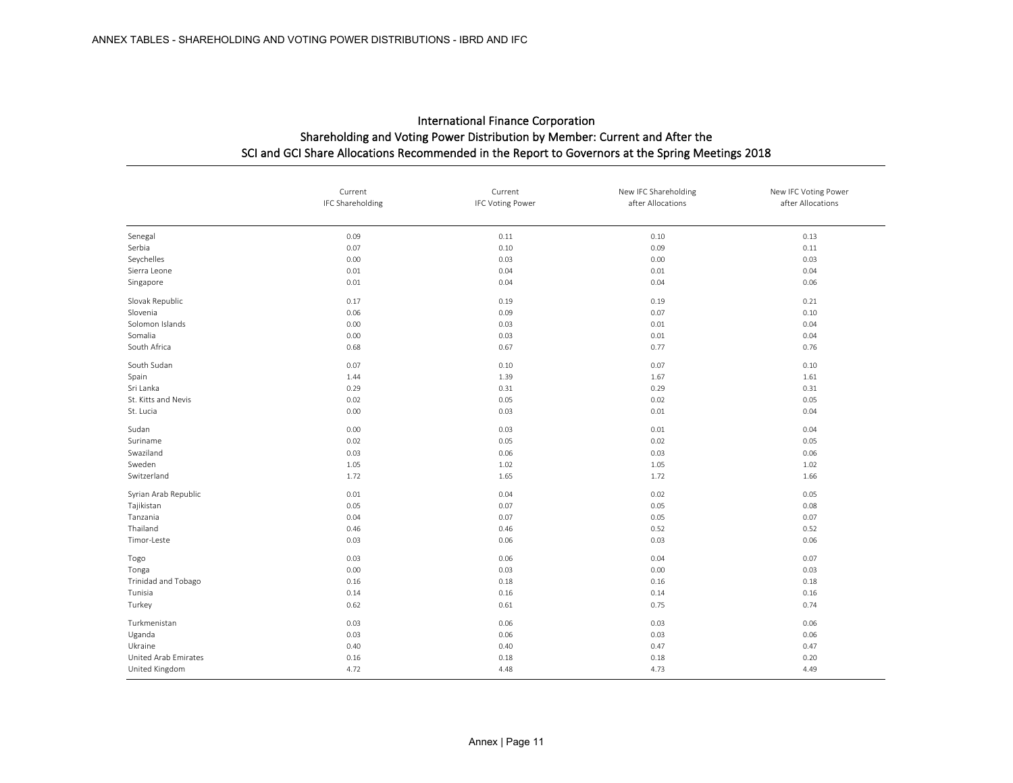|                      | Current<br>IFC Shareholding | Current<br><b>IFC Voting Power</b> | New IFC Shareholding<br>after Allocations | New IFC Voting Power<br>after Allocations |
|----------------------|-----------------------------|------------------------------------|-------------------------------------------|-------------------------------------------|
|                      |                             |                                    |                                           |                                           |
| Senegal              | 0.09                        | 0.11                               | 0.10                                      | 0.13                                      |
| Serbia               | 0.07                        | 0.10                               | 0.09                                      | 0.11                                      |
| Seychelles           | 0.00                        | 0.03                               | 0.00                                      | 0.03                                      |
| Sierra Leone         | 0.01                        | 0.04                               | 0.01                                      | 0.04                                      |
| Singapore            | 0.01                        | 0.04                               | 0.04                                      | 0.06                                      |
| Slovak Republic      | 0.17                        | 0.19                               | 0.19                                      | 0.21                                      |
| Slovenia             | 0.06                        | 0.09                               | 0.07                                      | 0.10                                      |
| Solomon Islands      | 0.00                        | 0.03                               | 0.01                                      | 0.04                                      |
| Somalia              | 0.00                        | 0.03                               | 0.01                                      | 0.04                                      |
| South Africa         | 0.68                        | 0.67                               | 0.77                                      | 0.76                                      |
| South Sudan          | 0.07                        | 0.10                               | 0.07                                      | 0.10                                      |
| Spain                | 1.44                        | 1.39                               | 1.67                                      | 1.61                                      |
| Sri Lanka            | 0.29                        | 0.31                               | 0.29                                      | 0.31                                      |
| St. Kitts and Nevis  | 0.02                        | 0.05                               | 0.02                                      | 0.05                                      |
| St. Lucia            | 0.00                        | 0.03                               | 0.01                                      | 0.04                                      |
| Sudan                | 0.00                        | 0.03                               | 0.01                                      | 0.04                                      |
| Suriname             | 0.02                        | 0.05                               | 0.02                                      | 0.05                                      |
| Swaziland            | 0.03                        | 0.06                               | 0.03                                      | 0.06                                      |
| Sweden               | 1.05                        | 1.02                               | 1.05                                      | 1.02                                      |
| Switzerland          | 1.72                        | 1.65                               | 1.72                                      | 1.66                                      |
| Syrian Arab Republic | 0.01                        | 0.04                               | 0.02                                      | 0.05                                      |
| Tajikistan           | 0.05                        | 0.07                               | 0.05                                      | 0.08                                      |
| Tanzania             | 0.04                        | 0.07                               | 0.05                                      | 0.07                                      |
| Thailand             | 0.46                        | 0.46                               | 0.52                                      | 0.52                                      |
| Timor-Leste          | 0.03                        | 0.06                               | 0.03                                      | 0.06                                      |
| Togo                 | 0.03                        | 0.06                               | 0.04                                      | 0.07                                      |
| Tonga                | 0.00                        | 0.03                               | 0.00                                      | 0.03                                      |
| Trinidad and Tobago  | 0.16                        | 0.18                               | 0.16                                      | 0.18                                      |
| Tunisia              | 0.14                        | 0.16                               | 0.14                                      | 0.16                                      |
| Turkey               | 0.62                        | 0.61                               | 0.75                                      | 0.74                                      |
| Turkmenistan         | 0.03                        | 0.06                               | 0.03                                      | 0.06                                      |
| Uganda               | 0.03                        | 0.06                               | 0.03                                      | 0.06                                      |
| Ukraine              | 0.40                        | 0.40                               | 0.47                                      | 0.47                                      |
| United Arab Emirates | 0.16                        | 0.18                               | 0.18                                      | 0.20                                      |
| United Kingdom       | 4.72                        | 4.48                               | 4.73                                      | 4.49                                      |